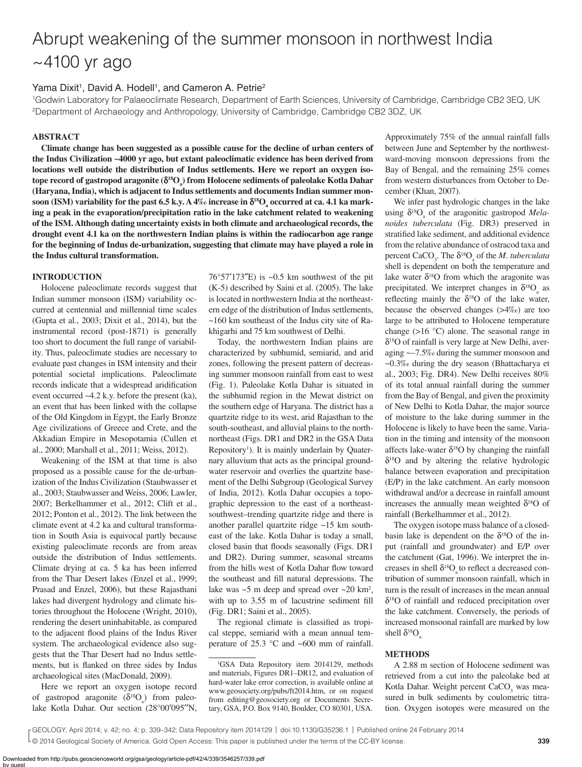# Abrupt weakening of the summer monsoon in northwest India ~4100 yr ago

# Yama Dixit<sup>1</sup>, David A. Hodell<sup>1</sup>, and Cameron A. Petrie<sup>2</sup>

1 Godwin Laboratory for Palaeoclimate Research, Department of Earth Sciences, University of Cambridge, Cambridge CB2 3EQ, UK 2Department of Archaeology and Anthropology, University of Cambridge, Cambridge CB2 3DZ, UK

# **ABSTRACT**

**Climate change has been suggested as a possible cause for the decline of urban centers of the Indus Civilization ~4000 yr ago, but extant paleoclimatic evidence has been derived from locations well outside the distribution of Indus settlements. Here we report an oxygen iso**tope record of gastropod aragonite (δ<sup>18</sup>O<sub>a</sub>) from Holocene sediments of paleolake Kotla Dahar **(Haryana, India), which is adjacent to Indus settlements and documents Indian summer mon-** $\,$  **soon** (ISM) variability for the past 6.5 k.y. A 4‰ increase in  $\delta^{18}O_{a}$  occurred at ca. 4.1 ka mark**ing a peak in the evaporation/precipitation ratio in the lake catchment related to weakening of the ISM. Although dating uncertainty exists in both climate and archaeological records, the drought event 4.1 ka on the northwestern Indian plains is within the radiocarbon age range for the beginning of Indus de-urbanization, suggesting that climate may have played a role in the Indus cultural transformation.**

# **INTRODUCTION**

Holocene paleoclimate records suggest that Indian summer monsoon (ISM) variability occurred at centennial and millennial time scales (Gupta et al., 2003; Dixit et al., 2014), but the instrumental record (post-1871) is generally too short to document the full range of variability. Thus, paleoclimate studies are necessary to evaluate past changes in ISM intensity and their potential societal implications. Paleoclimate records indicate that a widespread aridification event occurred ~4.2 k.y. before the present (ka), an event that has been linked with the collapse of the Old Kingdom in Egypt, the Early Bronze Age civilizations of Greece and Crete, and the Akkadian Empire in Mesopotamia (Cullen et al., 2000; Marshall et al., 2011; Weiss, 2012).

Weakening of the ISM at that time is also proposed as a possible cause for the de-urbanization of the Indus Civilization (Staubwasser et al., 2003; Staubwasser and Weiss, 2006; Lawler, 2007; Berkelhammer et al., 2012; Clift et al., 2012; Ponton et al., 2012). The link between the climate event at 4.2 ka and cultural transformation in South Asia is equivocal partly because existing paleoclimate records are from areas outside the distribution of Indus settlements. Climate drying at ca. 5 ka has been inferred from the Thar Desert lakes (Enzel et al., 1999; Prasad and Enzel, 2006), but these Rajasthani lakes had divergent hydrology and climate histories throughout the Holocene (Wright, 2010), rendering the desert uninhabitable, as compared to the adjacent flood plains of the Indus River system. The archaeological evidence also suggests that the Thar Desert had no Indus settlements, but is flanked on three sides by Indus archaeological sites (MacDonald, 2009).

Here we report an oxygen isotope record of gastropod aragonite  $(\delta^{18}O_a)$  from paleolake Kotla Dahar. Our section (28°00′095′′N,

 $76^{\circ}57'173''$ E) is ~0.5 km southwest of the pit (K-5) described by Saini et al. (2005). The lake is located in northwestern India at the northeastern edge of the distribution of Indus settlements, ~160 km southeast of the Indus city site of Rakhigarhi and 75 km southwest of Delhi.

Today, the northwestern Indian plains are characterized by subhumid, semiarid, and arid zones, following the present pattern of decreasing summer monsoon rainfall from east to west (Fig. 1). Paleolake Kotla Dahar is situated in the subhumid region in the Mewat district on the southern edge of Haryana. The district has a quartzite ridge to its west, arid Rajasthan to the south-southeast, and alluvial plains to the northnortheast (Figs. DR1 and DR2 in the GSA Data Repository<sup>1</sup>). It is mainly underlain by Quaternary alluvium that acts as the principal groundwater reservoir and overlies the quartzite basement of the Delhi Subgroup (Geological Survey of India, 2012). Kotla Dahar occupies a topographic depression to the east of a northeastsouthwest–trending quartzite ridge and there is another parallel quartzite ridge ~15 km southeast of the lake. Kotla Dahar is today a small, closed basin that floods seasonally (Figs. DR1 and DR2). During summer, seasonal streams from the hills west of Kotla Dahar flow toward the southeast and fill natural depressions. The lake was  $\sim$ 5 m deep and spread over  $\sim$ 20 km<sup>2</sup>, with up to  $3.55$  m of lacustrine sediment fill (Fig. DR1; Saini et al., 2005).

The regional climate is classified as tropical steppe, semiarid with a mean annual temperature of 25.3 °C and ~600 mm of rainfall.

Approximately 75% of the annual rainfall falls between June and September by the northwestward-moving monsoon depressions from the Bay of Bengal, and the remaining 25% comes from western disturbances from October to December (Khan, 2007).

We infer past hydrologic changes in the lake using  $\delta^{18}O_a$  of the aragonitic gastropod *Melanoides tuberculata* (Fig. DR3) preserved in stratified lake sediment, and additional evidence from the relative abundance of ostracod taxa and percent  $CaCO_{3}$ . The  $\delta^{18}O_{a}$  of the *M. tuberculata* shell is dependent on both the temperature and lake water  $\delta^{18}$ O from which the aragonite was precipitated. We interpret changes in  $\delta^{18}O_{a}$  as reflecting mainly the  $\delta^{18}$ O of the lake water, because the observed changes (>4‰) are too large to be attributed to Holocene temperature change (>16 °C) alone. The seasonal range in  $\delta^{18}$ O of rainfall is very large at New Delhi, averaging ~–7.5‰ during the summer monsoon and ~0.3‰ during the dry season (Bhattacharya et al., 2003; Fig. DR4). New Delhi receives 80% of its total annual rainfall during the summer from the Bay of Bengal, and given the proximity of New Delhi to Kotla Dahar, the major source of moisture to the lake during summer in the Holocene is likely to have been the same. Variation in the timing and intensity of the monsoon affects lake-water  $\delta^{18}$ O by changing the rainfall  $\delta^{18}$ O and by altering the relative hydrologic balance between evaporation and precipitation (E/P) in the lake catchment. An early monsoon withdrawal and/or a decrease in rainfall amount increases the annually mean weighted  $\delta^{18}O$  of rainfall (Berkelhammer et al., 2012).

The oxygen isotope mass balance of a closedbasin lake is dependent on the  $\delta^{18}$ O of the input (rainfall and groundwater) and E/P over the catchment (Gat, 1996). We interpret the increases in shell  $\delta^{18}O$  to reflect a decreased contribution of summer monsoon rainfall, which in turn is the result of increases in the mean annual δ18O of rainfall and reduced precipitation over the lake catchment. Conversely, the periods of increased monsoonal rainfall are marked by low shell  $\delta^{18}O$ <sub>a</sub>.

## **METHODS**

A 2.88 m section of Holocene sediment was retrieved from a cut into the paleolake bed at Kotla Dahar. Weight percent CaCO<sub>3</sub> was measured in bulk sediments by coulometric titration. Oxygen isotopes were measured on the

GEOLOGY, April 2014; v. 42; no. 4; p. 339–342; Data Repository item 2014129 | doi:10.1130/G35236.1 | Published online 24 February 2014

<sup>1</sup> GSA Data Repository item 2014129, methods and materials, Figures DR1–DR12, and evaluation of hard-water lake error correction, is available online at www.geosociety.org/pubs/ft2014.htm, or on request from editing@geosociety.org or Documents Secretary, GSA, P.O. Box 9140, Boulder, CO 80301, USA.

<sup>© 2014</sup> Geological Society of America. Gold Open Access: This paper is published under the terms of the CC-BY license.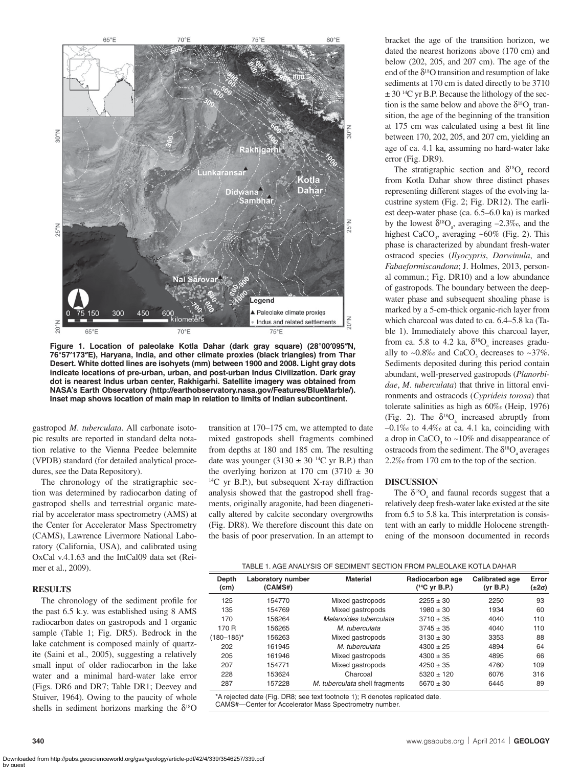

**Figure 1. Location of paleolake Kotla Dahar (dark gray square) (28°00**′**095**″**N, 76°57**′**173**″**E), Haryana, India, and other climate proxies (black triangles) from Thar Desert. White dotted lines are isohyets (mm) between 1900 and 2008. Light gray dots indicate locations of pre-urban, urban, and post-urban Indus Civilization. Dark gray dot is nearest Indus urban center, Rakhigarhi. Satellite imagery was obtained from NASA's Earth Observatory (http://earthobservatory.nasa.gov/Features/BlueMarble/). Inset map shows location of main map in relation to limits of Indian subcontinent.**

gastropod *M*. *tuberculata*. All carbonate isotopic results are reported in standard delta notation relative to the Vienna Peedee belemnite (VPDB) standard (for detailed analytical procedures, see the Data Repository).

The chronology of the stratigraphic section was determined by radiocarbon dating of gastropod shells and terrestrial organic material by accelerator mass spectrometry (AMS) at the Center for Accelerator Mass Spectrometry (CAMS), Lawrence Livermore National Laboratory (California, USA), and calibrated using OxCal v.4.1.63 and the IntCal09 data set (Reimer et al., 2009).

#### **RESULTS**

The chronology of the sediment profile for the past 6.5 k.y. was established using 8 AMS radiocarbon dates on gastropods and 1 organic sample (Table 1; Fig. DR5). Bedrock in the lake catchment is composed mainly of quartzite (Saini et al., 2005), suggesting a relatively small input of older radiocarbon in the lake water and a minimal hard-water lake error (Figs. DR6 and DR7; Table DR1; Deevey and Stuiver, 1964). Owing to the paucity of whole shells in sediment horizons marking the  $\delta^{18}O$  transition at 170–175 cm, we attempted to date mixed gastropods shell fragments combined from depths at 180 and 185 cm. The resulting date was younger  $(3130 \pm 30)$  <sup>14</sup>C yr B.P.) than the overlying horizon at 170 cm  $(3710 \pm 30)$ <sup>14</sup>C yr B.P.), but subsequent X-ray diffraction analysis showed that the gastropod shell fragments, originally aragonite, had been diagenetically altered by calcite secondary overgrowths (Fig. DR8). We therefore discount this date on the basis of poor preservation. In an attempt to bracket the age of the transition horizon, we dated the nearest horizons above (170 cm) and below (202, 205, and 207 cm). The age of the end of the  $\delta^{18}O$  transition and resumption of lake sediments at 170 cm is dated directly to be 3710  $\pm$  30<sup>14</sup>C yr B.P. Because the lithology of the section is the same below and above the  $\delta^{18}O_a$  transition, the age of the beginning of the transition at 175 cm was calculated using a best fit line between 170, 202, 205, and 207 cm, yielding an age of ca. 4.1 ka, assuming no hard-water lake error (Fig. DR9).

The stratigraphic section and  $\delta^{18}O_{a}$  record from Kotla Dahar show three distinct phases representing different stages of the evolving lacustrine system (Fig. 2; Fig. DR12). The earliest deep-water phase (ca. 6.5–6.0 ka) is marked by the lowest  $\delta^{18}O_a$ , averaging  $-2.3\%$ , and the highest  $CaCO<sub>3</sub>$ , averaging ~60% (Fig. 2). This phase is characterized by abundant fresh-water ostracod species (*Ilyocypris*, *Darwinula*, and *Fabaeformiscandona*; J. Holmes, 2013, personal commun.; Fig. DR10) and a low abundance of gastropods. The boundary between the deepwater phase and subsequent shoaling phase is marked by a 5-cm-thick organic-rich layer from which charcoal was dated to ca. 6.4–5.8 ka (Table 1). Immediately above this charcoal layer, from ca. 5.8 to 4.2 ka,  $\delta^{18}O_a$  increases gradually to  $\sim 0.8\%$  and CaCO<sub>3</sub> decreases to  $\sim 37\%$ . Sediments deposited during this period contain abundant, well-preserved gastropods (*Planorbidae*, *M*. *tuberculata*) that thrive in littoral environments and ostracods (*Cyprideis torosa*) that tolerate salinities as high as 60‰ (Heip, 1976) (Fig. 2). The  $\delta^{18}O_a$  increased abruptly from  $-0.1\%$  to 4.4‰ at ca. 4.1 ka, coinciding with a drop in  $CaCO<sub>3</sub>$  to  $\sim 10\%$  and disappearance of ostracods from the sediment. The  $\delta^{18}O_{a}$  averages 2.2‰ from 170 cm to the top of the section.

#### **DISCUSSION**

The  $\delta^{18}O_{a}$  and faunal records suggest that a relatively deep fresh-water lake existed at the site from 6.5 to 5.8 ka. This interpretation is consistent with an early to middle Holocene strengthening of the monsoon documented in records

| Depth<br>(cm)   | Laboratory number<br>(CAMS#) | <b>Material</b>                | Radiocarbon age<br>$(^{14}C$ yr B.P.) | <b>Calibrated age</b><br>(yr B.P.) | Error<br>(±2σ) |
|-----------------|------------------------------|--------------------------------|---------------------------------------|------------------------------------|----------------|
| 125             | 154770                       | Mixed gastropods               | $2255 \pm 30$                         | 2250                               | 93             |
| 135             | 154769                       | Mixed gastropods               | $1980 \pm 30$                         | 1934                               | 60             |
| 170             | 156264                       | Melanoides tuberculata         | $3710 \pm 35$                         | 4040                               | 110            |
| 170 R           | 156265                       | M tuberculata                  | $3745 \pm 35$                         | 4040                               | 110            |
| $(180 - 185)^*$ | 156263                       | Mixed gastropods               | $3130 \pm 30$                         | 3353                               | 88             |
| 202             | 161945                       | M tuberculata                  | $4300 \pm 25$                         | 4894                               | 64             |
| 205             | 161946                       | Mixed gastropods               | $4300 \pm 35$                         | 4895                               | 66             |
| 207             | 154771                       | Mixed gastropods               | $4250 \pm 35$                         | 4760                               | 109            |
| 228             | 153624                       | Charcoal                       | $5320 \pm 120$                        | 6076                               | 316            |
| 287             | 157228                       | M. tuberculata shell fragments | $5670 \pm 30$                         | 6445                               | 89             |

\*A rejected date (Fig. DR8; see text footnote 1); R denotes replicated date. CAMS#—Center for Accelerator Mass Spectrometry number.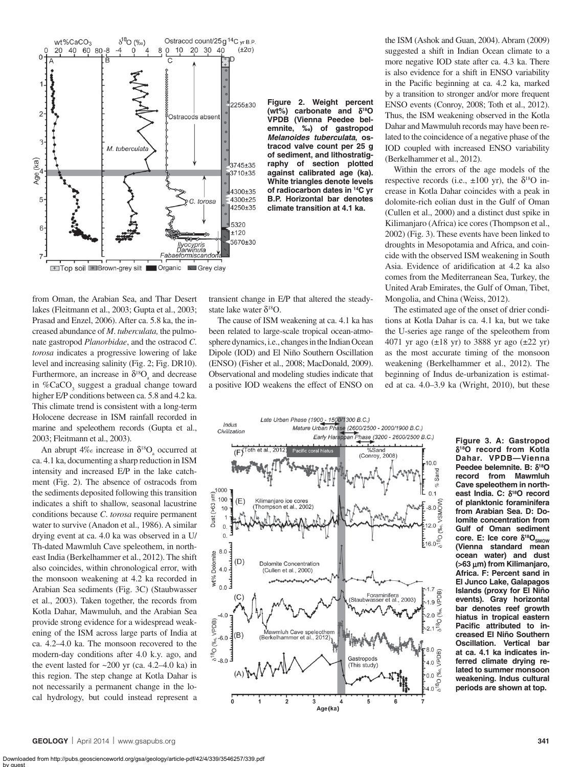

**Figure 2. Weight percent (wt%) carbonate and** δ**18O VPDB (Vienna Peedee belemnite, ‰) of gastropod**  *Melanoides tuberculata***, ostracod valve count per 25 g of sediment, and lithostratigraphy of section plotted against calibrated age (ka). White triangles denote levels of radiocarbon dates in 14C yr B.P. Horizontal bar denotes climate transition at 4.1 ka.**

from Oman, the Arabian Sea, and Thar Desert lakes (Fleitmann et al., 2003; Gupta et al., 2003; Prasad and Enzel, 2006). After ca. 5.8 ka, the increased abundance of *M*. *tuberculata,* the pulmonate gastropod *Planorbidae*, and the ostracod *C*. *torosa* indicates a progressive lowering of lake level and increasing salinity (Fig. 2; Fig. DR10). Furthermore, an increase in  $\delta^{18}O_a$  and decrease in %CaCO<sub>3</sub> suggest a gradual change toward higher E/P conditions between ca. 5.8 and 4.2 ka. This climate trend is consistent with a long-term Holocene decrease in ISM rainfall recorded in marine and speleothem records (Gupta et al., 2003; Fleitmann et al., 2003).

An abrupt  $4\%$  increase in  $\delta^{18}O_{a}$  occurred at ca. 4.1 ka, documenting a sharp reduction in ISM intensity and increased E/P in the lake catchment (Fig. 2). The absence of ostracods from the sediments deposited following this transition indicates a shift to shallow, seasonal lacustrine conditions because *C*. *torosa* require permanent water to survive (Anadon et al., 1986). A similar drying event at ca. 4.0 ka was observed in a U/ Th-dated Mawmluh Cave speleothem, in northeast India (Berkelhammer et al., 2012). The shift also coincides, within chronological error, with the monsoon weakening at 4.2 ka recorded in Arabian Sea sediments (Fig. 3C) (Staubwasser et al., 2003). Taken together, the records from Kotla Dahar, Mawmuluh, and the Arabian Sea provide strong evidence for a widespread weakening of the ISM across large parts of India at ca. 4.2–4.0 ka. The monsoon recovered to the modern-day conditions after 4.0 k.y. ago, and the event lasted for  $\sim$ 200 yr (ca. 4.2–4.0 ka) in this region. The step change at Kotla Dahar is not necessarily a permanent change in the local hydrology, but could instead represent a

transient change in E/P that altered the steadystate lake water  $\delta^{18}$ O.

The cause of ISM weakening at ca. 4.1 ka has been related to large-scale tropical ocean-atmosphere dynamics, i.e., changes in the Indian Ocean Dipole (IOD) and El Niño Southern Oscillation (ENSO) (Fisher et al., 2008; MacDonald, 2009). Observational and modeling studies indicate that a positive IOD weakens the effect of ENSO on

the ISM (Ashok and Guan, 2004). Abram (2009) suggested a shift in Indian Ocean climate to a more negative IOD state after ca. 4.3 ka. There is also evidence for a shift in ENSO variability in the Pacific beginning at ca. 4.2 ka, marked by a transition to stronger and/or more frequent ENSO events (Conroy, 2008; Toth et al., 2012). Thus, the ISM weakening observed in the Kotla Dahar and Mawmuluh records may have been related to the coincidence of a negative phase of the IOD coupled with increased ENSO variability (Berkelhammer et al., 2012).

Within the errors of the age models of the respective records (i.e.,  $\pm 100$  yr), the  $\delta^{18}O$  increase in Kotla Dahar coincides with a peak in dolomite-rich eolian dust in the Gulf of Oman (Cullen et al., 2000) and a distinct dust spike in Kilimanjaro (Africa) ice cores (Thompson et al., 2002) (Fig. 3). These events have been linked to droughts in Mesopotamia and Africa, and coincide with the observed ISM weakening in South Asia. Evidence of aridification at 4.2 ka also comes from the Mediterranean Sea, Turkey, the United Arab Emirates, the Gulf of Oman, Tibet, Mongolia, and China (Weiss, 2012).

The estimated age of the onset of drier conditions at Kotla Dahar is ca. 4.1 ka, but we take the U-series age range of the speleothem from 4071 yr ago  $(\pm 18 \text{ yr})$  to 3888 yr ago  $(\pm 22 \text{ yr})$ as the most accurate timing of the monsoon weakening (Berkelhammer et al., 2012). The beginning of Indus de-urbanization is estimated at ca. 4.0–3.9 ka (Wright, 2010), but these



**Figure 3. A: Gastropod**  δ**18O record from Kotla Dahar. VPDB—Vienna Peedee belemnite. B:** δ**18O record from Mawmluh Cave speleothem in northeast India. C:** δ**18O record of planktonic foraminifera from Arabian Sea. D: Dolomite concentration from Gulf of Oman sediment core. E: Ice core δ<sup>18</sup>O<sub>SMOW</sub> (Vienna standard mean ocean water) and dust (>63** μ**m) from Kilimanjaro, Africa. F: Percent sand in El Junco Lake, Galapagos Islands (proxy for El Niño events). Gray horizontal bar denotes reef growth hiatus in tropical eastern**  Pacific attributed to in**creased El Niño Southern Oscillation. Vertical bar at ca. 4.1 ka indicates inferred climate drying related to summer monsoon weakening. Indus cultural periods are shown at top.**